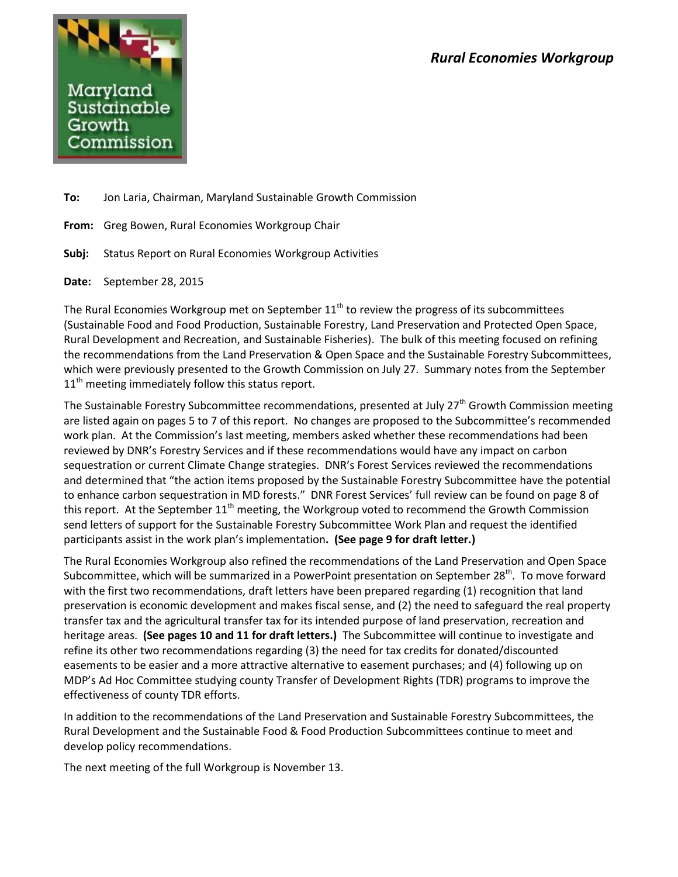

**To:** Jon Laria, Chairman, Maryland Sustainable Growth Commission

**From:** Greg Bowen, Rural Economies Workgroup Chair

**Subj:** Status Report on Rural Economies Workgroup Activities

**Date:** September 28, 2015

The Rural Economies Workgroup met on September  $11<sup>th</sup>$  to review the progress of its subcommittees (Sustainable Food and Food Production, Sustainable Forestry, Land Preservation and Protected Open Space, Rural Development and Recreation, and Sustainable Fisheries). The bulk of this meeting focused on refining the recommendations from the Land Preservation & Open Space and the Sustainable Forestry Subcommittees, which were previously presented to the Growth Commission on July 27. Summary notes from the September  $11<sup>th</sup>$  meeting immediately follow this status report.

The Sustainable Forestry Subcommittee recommendations, presented at July 27<sup>th</sup> Growth Commission meeting are listed again on pages 5 to 7 of this report. No changes are proposed to the Subcommittee's recommended work plan. At the Commission's last meeting, members asked whether these recommendations had been reviewed by DNR's Forestry Services and if these recommendations would have any impact on carbon sequestration or current Climate Change strategies. DNR's Forest Services reviewed the recommendations and determined that "the action items proposed by the Sustainable Forestry Subcommittee have the potential to enhance carbon sequestration in MD forests." DNR Forest Services' full review can be found on page 8 of this report. At the September 11<sup>th</sup> meeting, the Workgroup voted to recommend the Growth Commission send letters of support for the Sustainable Forestry Subcommittee Work Plan and request the identified participants assist in the work plan's implementation**. (See page 9 for draft letter.)**

The Rural Economies Workgroup also refined the recommendations of the Land Preservation and Open Space Subcommittee, which will be summarized in a PowerPoint presentation on September 28<sup>th</sup>. To move forward with the first two recommendations, draft letters have been prepared regarding (1) recognition that land preservation is economic development and makes fiscal sense, and (2) the need to safeguard the real property transfer tax and the agricultural transfer tax for its intended purpose of land preservation, recreation and heritage areas. **(See pages 10 and 11 for draft letters.)** The Subcommittee will continue to investigate and refine its other two recommendations regarding (3) the need for tax credits for donated/discounted easements to be easier and a more attractive alternative to easement purchases; and (4) following up on MDP's Ad Hoc Committee studying county Transfer of Development Rights (TDR) programs to improve the effectiveness of county TDR efforts.

In addition to the recommendations of the Land Preservation and Sustainable Forestry Subcommittees, the Rural Development and the Sustainable Food & Food Production Subcommittees continue to meet and develop policy recommendations.

The next meeting of the full Workgroup is November 13.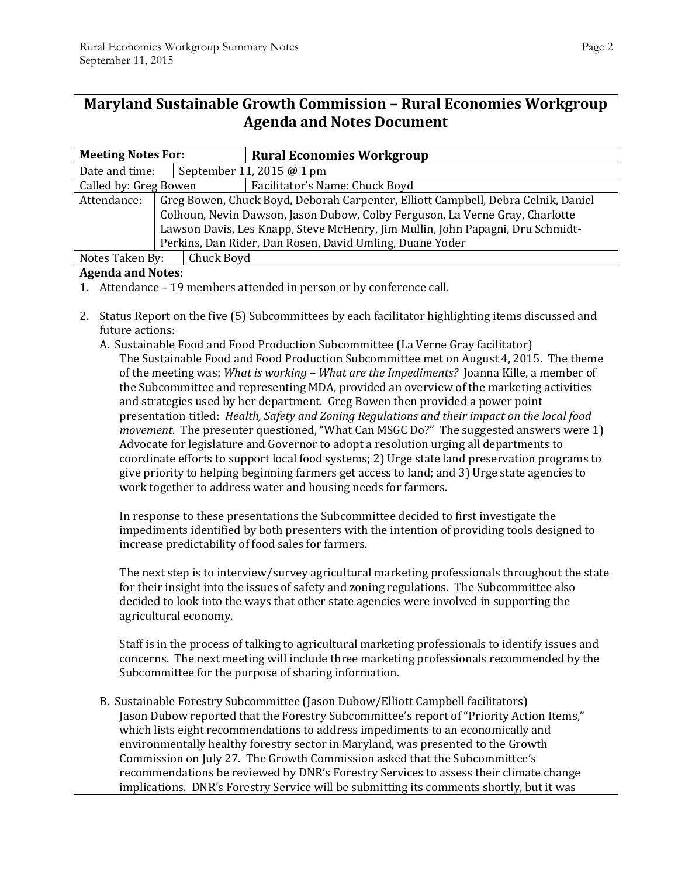| <b>Maryland Sustainable Growth Commission - Rural Economies Workgroup</b>                                                                                                                     |                                                                                          |                                                                                                   |  |
|-----------------------------------------------------------------------------------------------------------------------------------------------------------------------------------------------|------------------------------------------------------------------------------------------|---------------------------------------------------------------------------------------------------|--|
| <b>Agenda and Notes Document</b>                                                                                                                                                              |                                                                                          |                                                                                                   |  |
|                                                                                                                                                                                               |                                                                                          |                                                                                                   |  |
| <b>Meeting Notes For:</b>                                                                                                                                                                     |                                                                                          | <b>Rural Economies Workgroup</b>                                                                  |  |
| Date and time:                                                                                                                                                                                |                                                                                          | September 11, 2015 @ 1 pm                                                                         |  |
| Called by: Greg Bowen                                                                                                                                                                         |                                                                                          | Facilitator's Name: Chuck Boyd                                                                    |  |
| Greg Bowen, Chuck Boyd, Deborah Carpenter, Elliott Campbell, Debra Celnik, Daniel<br>Attendance:                                                                                              |                                                                                          |                                                                                                   |  |
|                                                                                                                                                                                               |                                                                                          | Colhoun, Nevin Dawson, Jason Dubow, Colby Ferguson, La Verne Gray, Charlotte                      |  |
|                                                                                                                                                                                               |                                                                                          | Lawson Davis, Les Knapp, Steve McHenry, Jim Mullin, John Papagni, Dru Schmidt-                    |  |
| Perkins, Dan Rider, Dan Rosen, David Umling, Duane Yoder<br>Chuck Boyd<br>Notes Taken By:                                                                                                     |                                                                                          |                                                                                                   |  |
| <b>Agenda and Notes:</b>                                                                                                                                                                      |                                                                                          |                                                                                                   |  |
| 1. Attendance - 19 members attended in person or by conference call.                                                                                                                          |                                                                                          |                                                                                                   |  |
|                                                                                                                                                                                               |                                                                                          |                                                                                                   |  |
| Status Report on the five (5) Subcommittees by each facilitator highlighting items discussed and<br>2.<br>future actions:                                                                     |                                                                                          |                                                                                                   |  |
| A. Sustainable Food and Food Production Subcommittee (La Verne Gray facilitator)                                                                                                              |                                                                                          |                                                                                                   |  |
| The Sustainable Food and Food Production Subcommittee met on August 4, 2015. The theme                                                                                                        |                                                                                          |                                                                                                   |  |
|                                                                                                                                                                                               |                                                                                          | of the meeting was: What is working - What are the Impediments? Joanna Kille, a member of         |  |
|                                                                                                                                                                                               | the Subcommittee and representing MDA, provided an overview of the marketing activities  |                                                                                                   |  |
|                                                                                                                                                                                               |                                                                                          | and strategies used by her department. Greg Bowen then provided a power point                     |  |
| presentation titled: Health, Safety and Zoning Regulations and their impact on the local food                                                                                                 |                                                                                          |                                                                                                   |  |
| <i>movement</i> . The presenter questioned, "What Can MSGC Do?" The suggested answers were 1)                                                                                                 |                                                                                          |                                                                                                   |  |
| Advocate for legislature and Governor to adopt a resolution urging all departments to                                                                                                         |                                                                                          |                                                                                                   |  |
| coordinate efforts to support local food systems; 2) Urge state land preservation programs to<br>give priority to helping beginning farmers get access to land; and 3) Urge state agencies to |                                                                                          |                                                                                                   |  |
| work together to address water and housing needs for farmers.                                                                                                                                 |                                                                                          |                                                                                                   |  |
|                                                                                                                                                                                               |                                                                                          |                                                                                                   |  |
| In response to these presentations the Subcommittee decided to first investigate the                                                                                                          |                                                                                          |                                                                                                   |  |
| impediments identified by both presenters with the intention of providing tools designed to                                                                                                   |                                                                                          |                                                                                                   |  |
| increase predictability of food sales for farmers.                                                                                                                                            |                                                                                          |                                                                                                   |  |
|                                                                                                                                                                                               |                                                                                          |                                                                                                   |  |
| The next step is to interview/survey agricultural marketing professionals throughout the state                                                                                                |                                                                                          |                                                                                                   |  |
| for their insight into the issues of safety and zoning regulations. The Subcommittee also<br>decided to look into the ways that other state agencies were involved in supporting the          |                                                                                          |                                                                                                   |  |
|                                                                                                                                                                                               | agricultural economy.                                                                    |                                                                                                   |  |
|                                                                                                                                                                                               |                                                                                          |                                                                                                   |  |
|                                                                                                                                                                                               |                                                                                          | Staff is in the process of talking to agricultural marketing professionals to identify issues and |  |
| concerns. The next meeting will include three marketing professionals recommended by the                                                                                                      |                                                                                          |                                                                                                   |  |
| Subcommittee for the purpose of sharing information.                                                                                                                                          |                                                                                          |                                                                                                   |  |
|                                                                                                                                                                                               |                                                                                          |                                                                                                   |  |
| B. Sustainable Forestry Subcommittee (Jason Dubow/Elliott Campbell facilitators)                                                                                                              |                                                                                          |                                                                                                   |  |
| Jason Dubow reported that the Forestry Subcommittee's report of "Priority Action Items,"                                                                                                      |                                                                                          |                                                                                                   |  |
| which lists eight recommendations to address impediments to an economically and                                                                                                               |                                                                                          |                                                                                                   |  |
| environmentally healthy forestry sector in Maryland, was presented to the Growth<br>Commission on July 27. The Growth Commission asked that the Subcommittee's                                |                                                                                          |                                                                                                   |  |
|                                                                                                                                                                                               |                                                                                          | recommendations be reviewed by DNR's Forestry Services to assess their climate change             |  |
|                                                                                                                                                                                               | implications. DNR's Forestry Service will be submitting its comments shortly, but it was |                                                                                                   |  |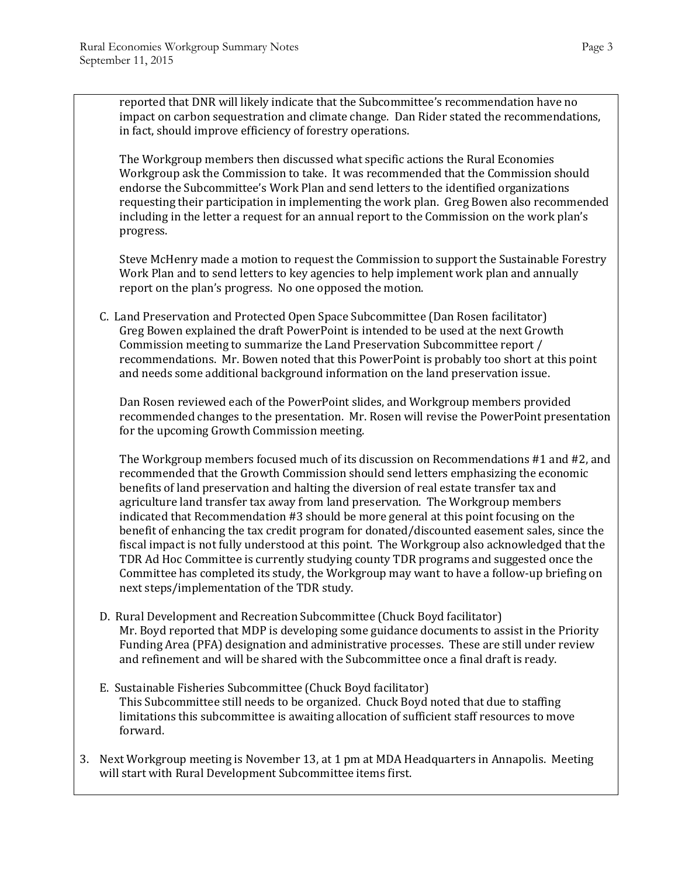reported that DNR will likely indicate that the Subcommittee's recommendation have no impact on carbon sequestration and climate change. Dan Rider stated the recommendations, in fact, should improve efficiency of forestry operations.

The Workgroup members then discussed what specific actions the Rural Economies Workgroup ask the Commission to take. It was recommended that the Commission should endorse the Subcommittee's Work Plan and send letters to the identified organizations requesting their participation in implementing the work plan. Greg Bowen also recommended including in the letter a request for an annual report to the Commission on the work plan's progress.

Steve McHenry made a motion to request the Commission to support the Sustainable Forestry Work Plan and to send letters to key agencies to help implement work plan and annually report on the plan's progress. No one opposed the motion.

C. Land Preservation and Protected Open Space Subcommittee (Dan Rosen facilitator) Greg Bowen explained the draft PowerPoint is intended to be used at the next Growth Commission meeting to summarize the Land Preservation Subcommittee report / recommendations. Mr. Bowen noted that this PowerPoint is probably too short at this point and needs some additional background information on the land preservation issue.

Dan Rosen reviewed each of the PowerPoint slides, and Workgroup members provided recommended changes to the presentation. Mr. Rosen will revise the PowerPoint presentation for the upcoming Growth Commission meeting.

The Workgroup members focused much of its discussion on Recommendations #1 and #2, and recommended that the Growth Commission should send letters emphasizing the economic benefits of land preservation and halting the diversion of real estate transfer tax and agriculture land transfer tax away from land preservation. The Workgroup members indicated that Recommendation #3 should be more general at this point focusing on the benefit of enhancing the tax credit program for donated/discounted easement sales, since the fiscal impact is not fully understood at this point. The Workgroup also acknowledged that the TDR Ad Hoc Committee is currently studying county TDR programs and suggested once the Committee has completed its study, the Workgroup may want to have a follow-up briefing on next steps/implementation of the TDR study.

- D. Rural Development and Recreation Subcommittee (Chuck Boyd facilitator) Mr. Boyd reported that MDP is developing some guidance documents to assist in the Priority Funding Area (PFA) designation and administrative processes. These are still under review and refinement and will be shared with the Subcommittee once a final draft is ready.
- E. Sustainable Fisheries Subcommittee (Chuck Boyd facilitator) This Subcommittee still needs to be organized. Chuck Boyd noted that due to staffing limitations this subcommittee is awaiting allocation of sufficient staff resources to move forward.
- 3. Next Workgroup meeting is November 13, at 1 pm at MDA Headquarters in Annapolis. Meeting will start with Rural Development Subcommittee items first.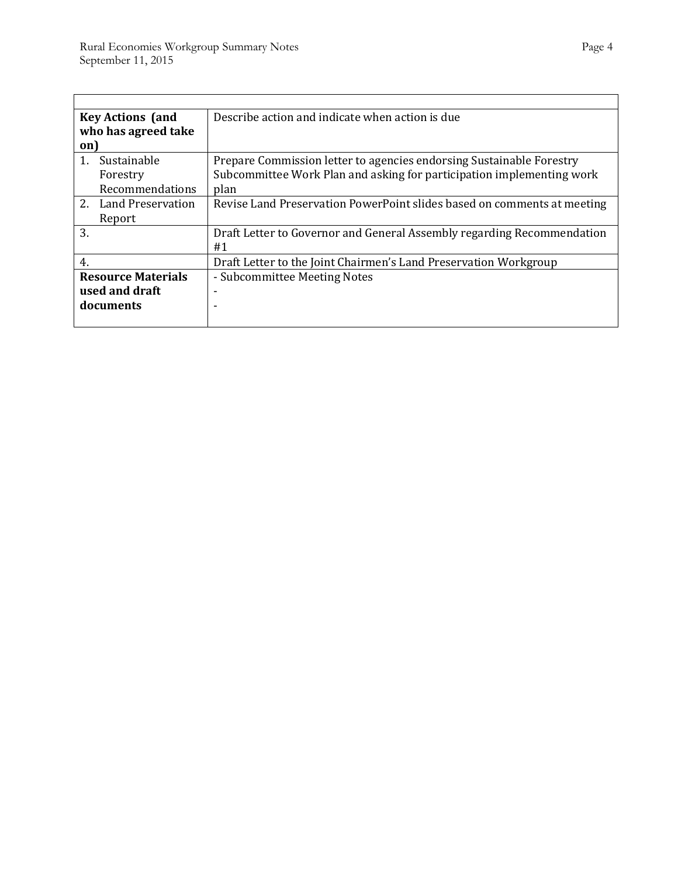'n

| <b>Key Actions (and</b>   | Describe action and indicate when action is due                         |
|---------------------------|-------------------------------------------------------------------------|
| who has agreed take       |                                                                         |
| on)                       |                                                                         |
| Sustainable<br>1.         | Prepare Commission letter to agencies endorsing Sustainable Forestry    |
| Forestry                  | Subcommittee Work Plan and asking for participation implementing work   |
| Recommendations           | plan                                                                    |
| 2. Land Preservation      | Revise Land Preservation PowerPoint slides based on comments at meeting |
| Report                    |                                                                         |
| 3.                        | Draft Letter to Governor and General Assembly regarding Recommendation  |
|                           | #1                                                                      |
| 4.                        | Draft Letter to the Joint Chairmen's Land Preservation Workgroup        |
| <b>Resource Materials</b> | - Subcommittee Meeting Notes                                            |
| used and draft            | ۰                                                                       |
| documents                 |                                                                         |
|                           |                                                                         |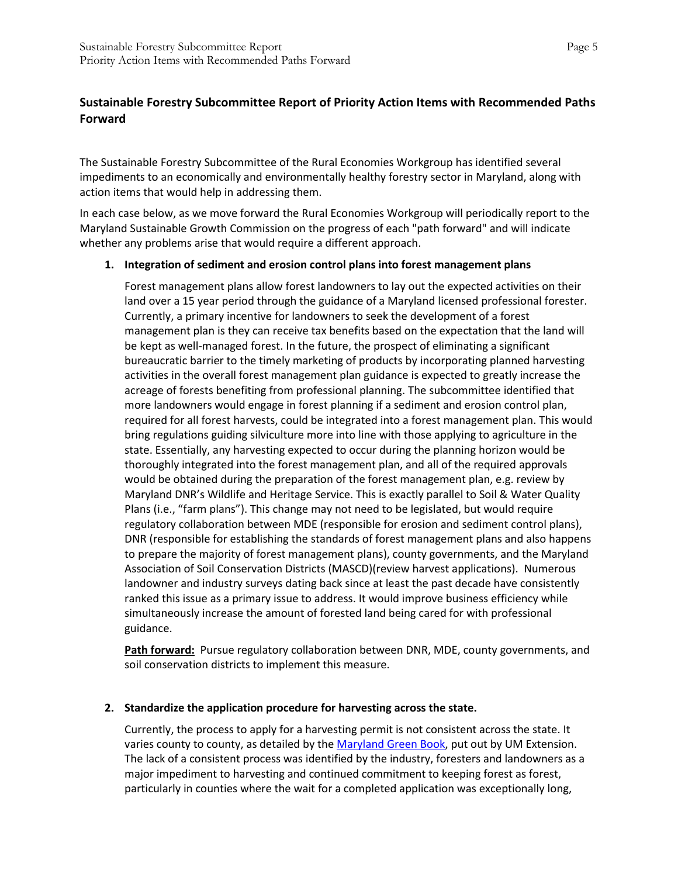# **Sustainable Forestry Subcommittee Report of Priority Action Items with Recommended Paths Forward**

The Sustainable Forestry Subcommittee of the Rural Economies Workgroup has identified several impediments to an economically and environmentally healthy forestry sector in Maryland, along with action items that would help in addressing them.

In each case below, as we move forward the Rural Economies Workgroup will periodically report to the Maryland Sustainable Growth Commission on the progress of each "path forward" and will indicate whether any problems arise that would require a different approach.

## **1. Integration of sediment and erosion control plans into forest management plans**

Forest management plans allow forest landowners to lay out the expected activities on their land over a 15 year period through the guidance of a Maryland licensed professional forester. Currently, a primary incentive for landowners to seek the development of a forest management plan is they can receive tax benefits based on the expectation that the land will be kept as well-managed forest. In the future, the prospect of eliminating a significant bureaucratic barrier to the timely marketing of products by incorporating planned harvesting activities in the overall forest management plan guidance is expected to greatly increase the acreage of forests benefiting from professional planning. The subcommittee identified that more landowners would engage in forest planning if a sediment and erosion control plan, required for all forest harvests, could be integrated into a forest management plan. This would bring regulations guiding silviculture more into line with those applying to agriculture in the state. Essentially, any harvesting expected to occur during the planning horizon would be thoroughly integrated into the forest management plan, and all of the required approvals would be obtained during the preparation of the forest management plan, e.g. review by Maryland DNR's Wildlife and Heritage Service. This is exactly parallel to Soil & Water Quality Plans (i.e., "farm plans"). This change may not need to be legislated, but would require regulatory collaboration between MDE (responsible for erosion and sediment control plans), DNR (responsible for establishing the standards of forest management plans and also happens to prepare the majority of forest management plans), county governments, and the Maryland Association of Soil Conservation Districts (MASCD)(review harvest applications). Numerous landowner and industry surveys dating back since at least the past decade have consistently ranked this issue as a primary issue to address. It would improve business efficiency while simultaneously increase the amount of forested land being cared for with professional guidance.

**Path forward:** Pursue regulatory collaboration between DNR, MDE, county governments, and soil conservation districts to implement this measure.

#### **2. Standardize the application procedure for harvesting across the state.**

Currently, the process to apply for a harvesting permit is not consistent across the state. It varies county to county, as detailed by the [Maryland Green Book,](https://extension.umd.edu/sites/default/files/_docs/publications/EB-417%20Green%20Book%202014%20How%20to%20apply%20for%20Woodland%20Harvest%20Permits.pdf) put out by UM Extension. The lack of a consistent process was identified by the industry, foresters and landowners as a major impediment to harvesting and continued commitment to keeping forest as forest, particularly in counties where the wait for a completed application was exceptionally long,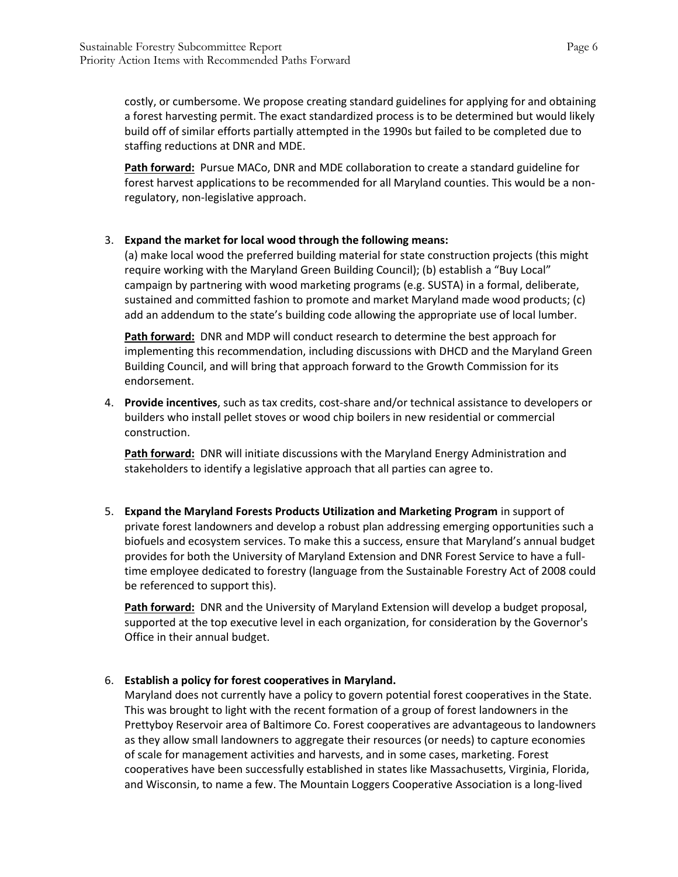costly, or cumbersome. We propose creating standard guidelines for applying for and obtaining a forest harvesting permit. The exact standardized process is to be determined but would likely build off of similar efforts partially attempted in the 1990s but failed to be completed due to staffing reductions at DNR and MDE.

**Path forward:** Pursue MACo, DNR and MDE collaboration to create a standard guideline for forest harvest applications to be recommended for all Maryland counties. This would be a nonregulatory, non-legislative approach.

## 3. **Expand the market for local wood through the following means:**

(a) make local wood the preferred building material for state construction projects (this might require working with the Maryland Green Building Council); (b) establish a "Buy Local" campaign by partnering with wood marketing programs (e.g. SUSTA) in a formal, deliberate, sustained and committed fashion to promote and market Maryland made wood products; (c) add an addendum to the state's building code allowing the appropriate use of local lumber.

**Path forward:** DNR and MDP will conduct research to determine the best approach for implementing this recommendation, including discussions with DHCD and the Maryland Green Building Council, and will bring that approach forward to the Growth Commission for its endorsement.

4. **Provide incentives**, such as tax credits, cost-share and/or technical assistance to developers or builders who install pellet stoves or wood chip boilers in new residential or commercial construction.

**Path forward:** DNR will initiate discussions with the Maryland Energy Administration and stakeholders to identify a legislative approach that all parties can agree to.

5. **Expand the Maryland Forests Products Utilization and Marketing Program** in support of private forest landowners and develop a robust plan addressing emerging opportunities such a biofuels and ecosystem services. To make this a success, ensure that Maryland's annual budget provides for both the University of Maryland Extension and DNR Forest Service to have a fulltime employee dedicated to forestry (language from the Sustainable Forestry Act of 2008 could be referenced to support this).

**Path forward:** DNR and the University of Maryland Extension will develop a budget proposal, supported at the top executive level in each organization, for consideration by the Governor's Office in their annual budget.

#### 6. **Establish a policy for forest cooperatives in Maryland.**

Maryland does not currently have a policy to govern potential forest cooperatives in the State. This was brought to light with the recent formation of a group of forest landowners in the Prettyboy Reservoir area of Baltimore Co. Forest cooperatives are advantageous to landowners as they allow small landowners to aggregate their resources (or needs) to capture economies of scale for management activities and harvests, and in some cases, marketing. Forest cooperatives have been successfully established in states like Massachusetts, Virginia, Florida, and Wisconsin, to name a few. The Mountain Loggers Cooperative Association is a long-lived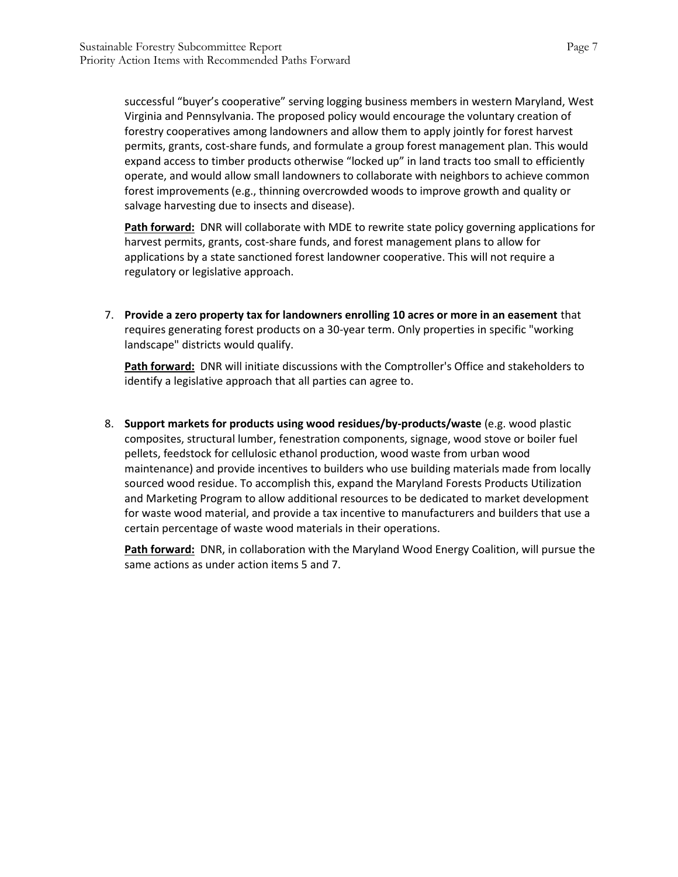successful "buyer's cooperative" serving logging business members in western Maryland, West Virginia and Pennsylvania. The proposed policy would encourage the voluntary creation of forestry cooperatives among landowners and allow them to apply jointly for forest harvest permits, grants, cost-share funds, and formulate a group forest management plan. This would expand access to timber products otherwise "locked up" in land tracts too small to efficiently operate, and would allow small landowners to collaborate with neighbors to achieve common forest improvements (e.g., thinning overcrowded woods to improve growth and quality or salvage harvesting due to insects and disease).

**Path forward:** DNR will collaborate with MDE to rewrite state policy governing applications for harvest permits, grants, cost-share funds, and forest management plans to allow for applications by a state sanctioned forest landowner cooperative. This will not require a regulatory or legislative approach.

7. **Provide a zero property tax for landowners enrolling 10 acres or more in an easement** that requires generating forest products on a 30-year term. Only properties in specific "working landscape" districts would qualify.

**Path forward:** DNR will initiate discussions with the Comptroller's Office and stakeholders to identify a legislative approach that all parties can agree to.

8. **Support markets for products using wood residues/by-products/waste** (e.g. wood plastic composites, structural lumber, fenestration components, signage, wood stove or boiler fuel pellets, feedstock for cellulosic ethanol production, wood waste from urban wood maintenance) and provide incentives to builders who use building materials made from locally sourced wood residue. To accomplish this, expand the Maryland Forests Products Utilization and Marketing Program to allow additional resources to be dedicated to market development for waste wood material, and provide a tax incentive to manufacturers and builders that use a certain percentage of waste wood materials in their operations.

**Path forward:** DNR, in collaboration with the Maryland Wood Energy Coalition, will pursue the same actions as under action items 5 and 7.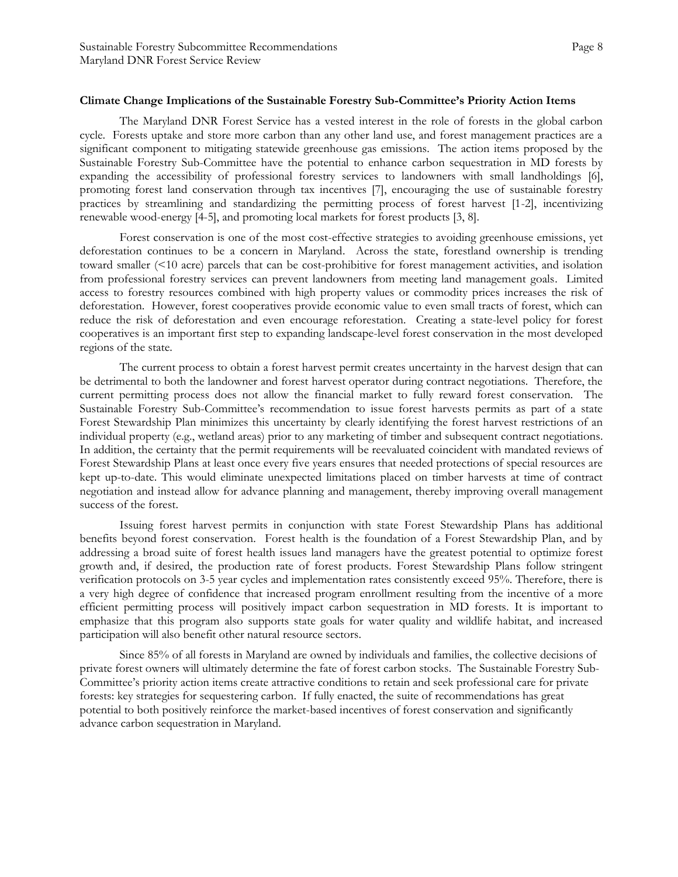#### **Climate Change Implications of the Sustainable Forestry Sub-Committee's Priority Action Items**

The Maryland DNR Forest Service has a vested interest in the role of forests in the global carbon cycle. Forests uptake and store more carbon than any other land use, and forest management practices are a significant component to mitigating statewide greenhouse gas emissions. The action items proposed by the Sustainable Forestry Sub-Committee have the potential to enhance carbon sequestration in MD forests by expanding the accessibility of professional forestry services to landowners with small landholdings [6], promoting forest land conservation through tax incentives [7], encouraging the use of sustainable forestry practices by streamlining and standardizing the permitting process of forest harvest [1-2], incentivizing renewable wood-energy [4-5], and promoting local markets for forest products [3, 8].

Forest conservation is one of the most cost-effective strategies to avoiding greenhouse emissions, yet deforestation continues to be a concern in Maryland. Across the state, forestland ownership is trending toward smaller (<10 acre) parcels that can be cost-prohibitive for forest management activities, and isolation from professional forestry services can prevent landowners from meeting land management goals. Limited access to forestry resources combined with high property values or commodity prices increases the risk of deforestation. However, forest cooperatives provide economic value to even small tracts of forest, which can reduce the risk of deforestation and even encourage reforestation. Creating a state-level policy for forest cooperatives is an important first step to expanding landscape-level forest conservation in the most developed regions of the state.

The current process to obtain a forest harvest permit creates uncertainty in the harvest design that can be detrimental to both the landowner and forest harvest operator during contract negotiations. Therefore, the current permitting process does not allow the financial market to fully reward forest conservation. The Sustainable Forestry Sub-Committee's recommendation to issue forest harvests permits as part of a state Forest Stewardship Plan minimizes this uncertainty by clearly identifying the forest harvest restrictions of an individual property (e.g., wetland areas) prior to any marketing of timber and subsequent contract negotiations. In addition, the certainty that the permit requirements will be reevaluated coincident with mandated reviews of Forest Stewardship Plans at least once every five years ensures that needed protections of special resources are kept up-to-date. This would eliminate unexpected limitations placed on timber harvests at time of contract negotiation and instead allow for advance planning and management, thereby improving overall management success of the forest.

Issuing forest harvest permits in conjunction with state Forest Stewardship Plans has additional benefits beyond forest conservation. Forest health is the foundation of a Forest Stewardship Plan, and by addressing a broad suite of forest health issues land managers have the greatest potential to optimize forest growth and, if desired, the production rate of forest products. Forest Stewardship Plans follow stringent verification protocols on 3-5 year cycles and implementation rates consistently exceed 95%. Therefore, there is a very high degree of confidence that increased program enrollment resulting from the incentive of a more efficient permitting process will positively impact carbon sequestration in MD forests. It is important to emphasize that this program also supports state goals for water quality and wildlife habitat, and increased participation will also benefit other natural resource sectors.

Since 85% of all forests in Maryland are owned by individuals and families, the collective decisions of private forest owners will ultimately determine the fate of forest carbon stocks. The Sustainable Forestry Sub-Committee's priority action items create attractive conditions to retain and seek professional care for private forests: key strategies for sequestering carbon. If fully enacted, the suite of recommendations has great potential to both positively reinforce the market-based incentives of forest conservation and significantly advance carbon sequestration in Maryland.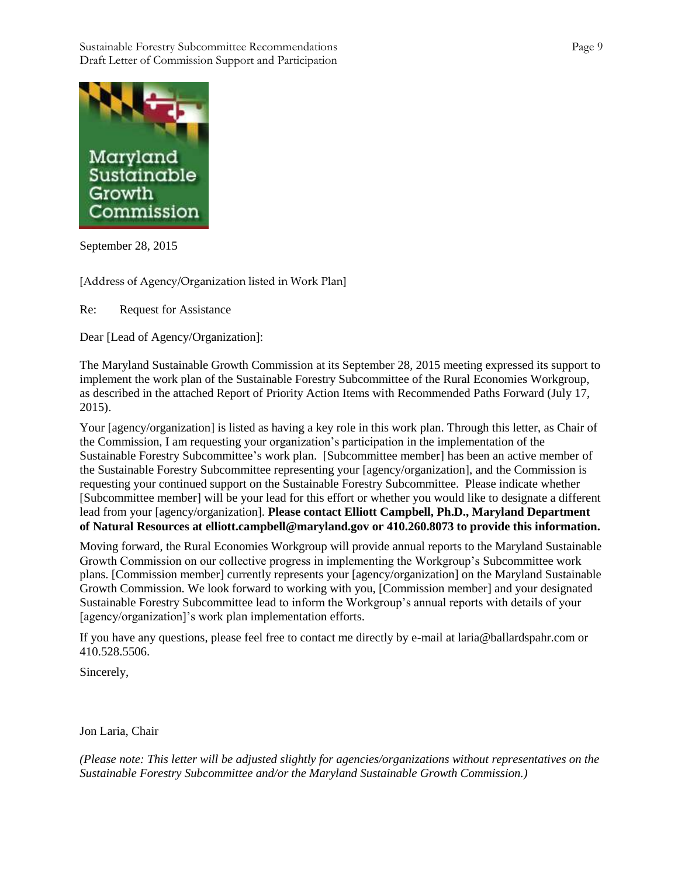

September 28, 2015

[Address of Agency/Organization listed in Work Plan]

Re: Request for Assistance

Dear [Lead of Agency/Organization]:

The Maryland Sustainable Growth Commission at its September 28, 2015 meeting expressed its support to implement the work plan of the Sustainable Forestry Subcommittee of the Rural Economies Workgroup, as described in the attached Report of Priority Action Items with Recommended Paths Forward (July 17, 2015).

Your [agency/organization] is listed as having a key role in this work plan. Through this letter, as Chair of the Commission, I am requesting your organization's participation in the implementation of the Sustainable Forestry Subcommittee's work plan. [Subcommittee member] has been an active member of the Sustainable Forestry Subcommittee representing your [agency/organization], and the Commission is requesting your continued support on the Sustainable Forestry Subcommittee. Please indicate whether [Subcommittee member] will be your lead for this effort or whether you would like to designate a different lead from your [agency/organization]. **Please contact Elliott Campbell, Ph.D., Maryland Department of Natural Resources at elliott.campbell@maryland.gov or 410.260.8073 to provide this information.** 

Moving forward, the Rural Economies Workgroup will provide annual reports to the Maryland Sustainable Growth Commission on our collective progress in implementing the Workgroup's Subcommittee work plans. [Commission member] currently represents your [agency/organization] on the Maryland Sustainable Growth Commission. We look forward to working with you, [Commission member] and your designated Sustainable Forestry Subcommittee lead to inform the Workgroup's annual reports with details of your [agency/organization]'s work plan implementation efforts.

If you have any questions, please feel free to contact me directly by e-mail at laria@ballardspahr.com or 410.528.5506.

Sincerely,

Jon Laria, Chair

*(Please note: This letter will be adjusted slightly for agencies/organizations without representatives on the Sustainable Forestry Subcommittee and/or the Maryland Sustainable Growth Commission.)*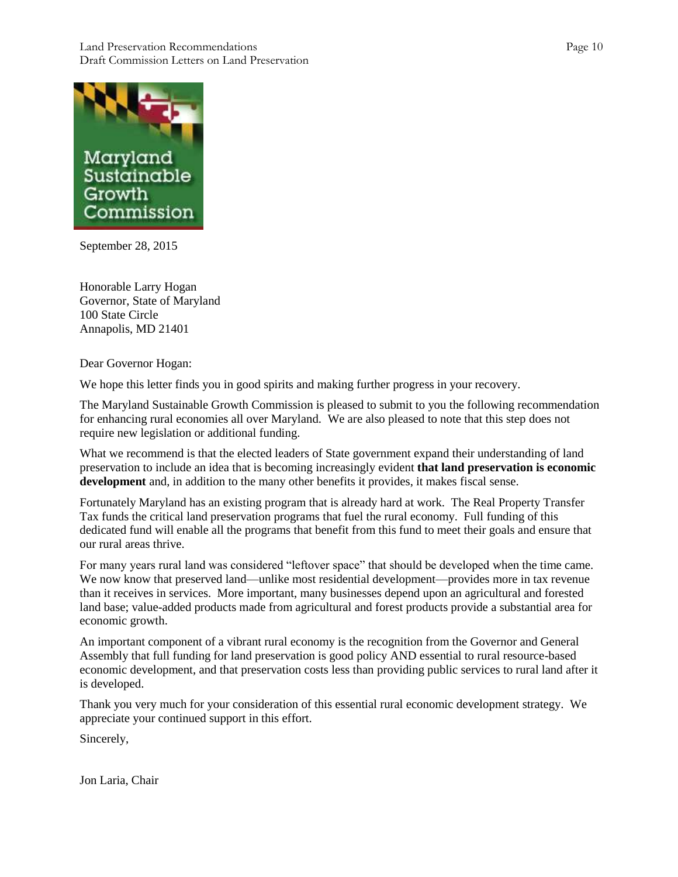#### Land Preservation Recommendations Page 10 Draft Commission Letters on Land Preservation



September 28, 2015

Honorable Larry Hogan Governor, State of Maryland 100 State Circle Annapolis, MD 21401

Dear Governor Hogan:

We hope this letter finds you in good spirits and making further progress in your recovery.

The Maryland Sustainable Growth Commission is pleased to submit to you the following recommendation for enhancing rural economies all over Maryland. We are also pleased to note that this step does not require new legislation or additional funding.

What we recommend is that the elected leaders of State government expand their understanding of land preservation to include an idea that is becoming increasingly evident **that land preservation is economic development** and, in addition to the many other benefits it provides, it makes fiscal sense.

Fortunately Maryland has an existing program that is already hard at work. The Real Property Transfer Tax funds the critical land preservation programs that fuel the rural economy. Full funding of this dedicated fund will enable all the programs that benefit from this fund to meet their goals and ensure that our rural areas thrive.

For many years rural land was considered "leftover space" that should be developed when the time came. We now know that preserved land—unlike most residential development—provides more in tax revenue than it receives in services. More important, many businesses depend upon an agricultural and forested land base; value-added products made from agricultural and forest products provide a substantial area for economic growth.

An important component of a vibrant rural economy is the recognition from the Governor and General Assembly that full funding for land preservation is good policy AND essential to rural resource-based economic development, and that preservation costs less than providing public services to rural land after it is developed.

Thank you very much for your consideration of this essential rural economic development strategy. We appreciate your continued support in this effort.

Sincerely,

Jon Laria, Chair